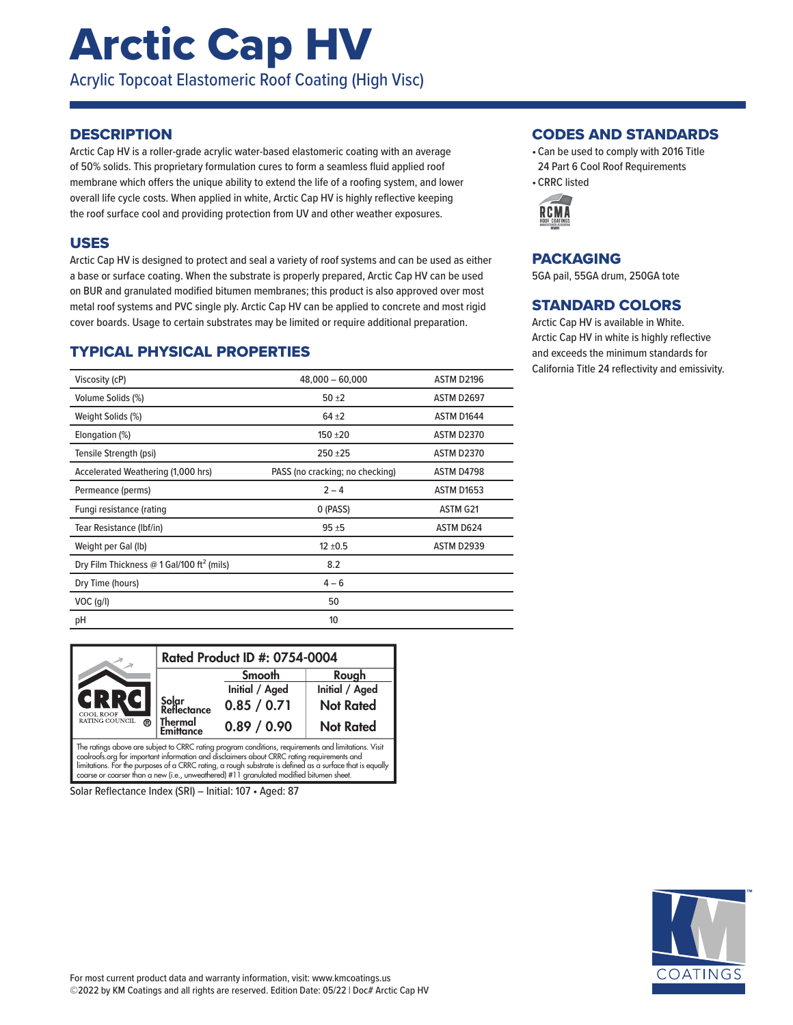# Arctic Cap HV

Acrylic Topcoat Elastomeric Roof Coating (High Visc)

### **DESCRIPTION**

Arctic Cap HV is a roller-grade acrylic water-based elastomeric coating with an average of 50% solids. This proprietary formulation cures to form a seamless fluid applied roof membrane which offers the unique ability to extend the life of a roofing system, and lower overall life cycle costs. When applied in white, Arctic Cap HV is highly reflective keeping the roof surface cool and providing protection from UV and other weather exposures.

### USES

Arctic Cap HV is designed to protect and seal a variety of roof systems and can be used as either a base or surface coating. When the substrate is properly prepared, Arctic Cap HV can be used on BUR and granulated modified bitumen membranes; this product is also approved over most metal roof systems and PVC single ply. Arctic Cap HV can be applied to concrete and most rigid cover boards. Usage to certain substrates may be limited or require additional preparation.

## TYPICAL PHYSICAL PROPERTIES

| Viscosity (cP)                                        | $48,000 - 60,000$               | ASTM D2196        |
|-------------------------------------------------------|---------------------------------|-------------------|
| Volume Solids (%)                                     | $50 + 2$                        | ASTM D2697        |
| Weight Solids (%)                                     | $64 + 2$                        | ASTM D1644        |
| Elongation (%)                                        | $150 + 20$                      | <b>ASTM D2370</b> |
| Tensile Strength (psi)                                | $250 + 25$                      | <b>ASTM D2370</b> |
| Accelerated Weathering (1,000 hrs)                    | PASS (no cracking; no checking) | ASTM D4798        |
| Permeance (perms)                                     | $2 - 4$                         | <b>ASTM D1653</b> |
| Fungi resistance (rating                              | 0 (PASS)                        | ASTM G21          |
| Tear Resistance (Ibf/in)                              | $95 + 5$                        | ASTM D624         |
| Weight per Gal (lb)                                   | $12 \pm 0.5$                    | <b>ASTM D2939</b> |
| Dry Film Thickness @ 1 Gal/100 ft <sup>2</sup> (mils) | 8.2                             |                   |
| Dry Time (hours)                                      | $4 - 6$                         |                   |
| $VOC$ (g/l)                                           | 50                              |                   |
| pH                                                    | 10                              |                   |

|                                                                                                      | Rated Product ID #: 0754-0004 |                |                  |  |
|------------------------------------------------------------------------------------------------------|-------------------------------|----------------|------------------|--|
|                                                                                                      |                               | Smooth         | Rough            |  |
|                                                                                                      |                               | Initial / Aged | Initial / Aged   |  |
| CRRC<br><b>COOL ROOF</b>                                                                             | Solar<br>Reflectance          | 0.85 / 0.71    | <b>Not Rated</b> |  |
| RATING COUNCIL<br>൫                                                                                  | Thermal<br><b>Emittance</b>   | 0.89 / 0.90    | <b>Not Rated</b> |  |
| The ratings above are subject to CRRC rating program conditions, requirements and limitations. Visit |                               |                |                  |  |

The ratings above are subject to CRRC rating program conditions, requirements and limitations. Visit<br>coolroofs.org for important information and disclaimers about CRRC rating requirements and<br>limitations. For the purposes coarse or coarser than a new (i.e., unweathered) #11 granulated modified bitumen sheet.

Solar Reflectance Index (SRI) – Initial: 107 • Aged: 87

#### CODES AND STANDARDS

- Can be used to comply with 2016 Title 24 Part 6 Cool Roof Requirements
- CRRC listed



## PACKAGING

5GA pail, 55GA drum, 250GA tote

## STANDARD COLORS

Arctic Cap HV is available in White. Arctic Cap HV in white is highly reflective and exceeds the minimum standards for California Title 24 reflectivity and emissivity.